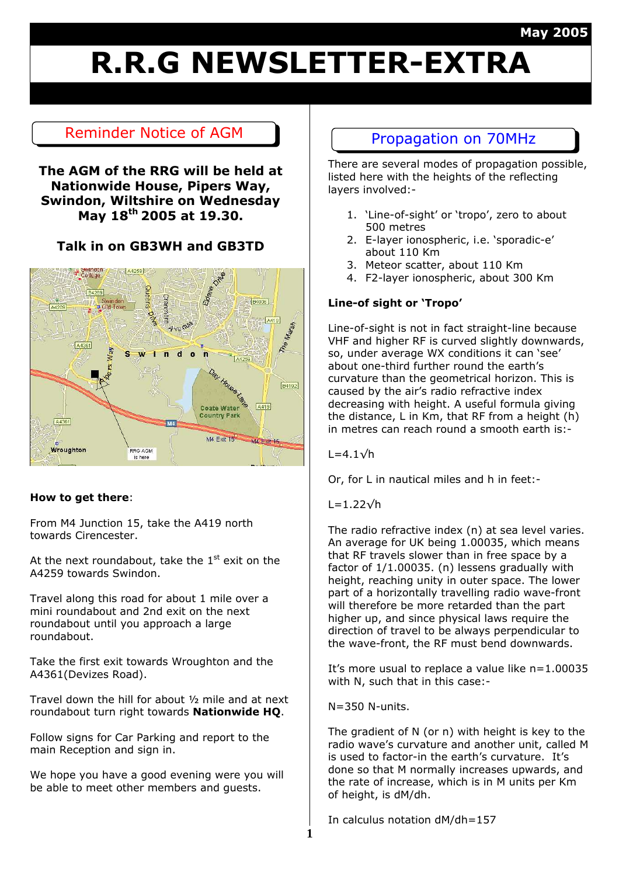#### **May 2005**

## **R.R.G NEWSLETTER-EXTRA**

### Reminder Notice of AGM Propagation on 70MHz

#### **The AGM of the RRG will be held at Nationwide House, Pipers Way, Swindon, Wiltshire on Wednesday May 18th 2005 at 19.30.**

#### **Talk in on GB3WH and GB3TD**



#### **How to get there**:

From M4 Junction 15, take the A419 north towards Cirencester.

At the next roundabout, take the  $1<sup>st</sup>$  exit on the A4259 towards Swindon.

Travel along this road for about 1 mile over a mini roundabout and 2nd exit on the next roundabout until you approach a large roundabout.

Take the first exit towards Wroughton and the A4361(Devizes Road).

Travel down the hill for about ½ mile and at next roundabout turn right towards **Nationwide HQ**.

Follow signs for Car Parking and report to the main Reception and sign in.

We hope you have a good evening were you will be able to meet other members and guests.

There are several modes of propagation possible, listed here with the heights of the reflecting layers involved:-

- 1. 'Line-of-sight' or 'tropo', zero to about 500 metres
- 2. E-layer ionospheric, i.e. 'sporadic-e' about 110 Km
- 3. Meteor scatter, about 110 Km
- 4. F2-layer ionospheric, about 300 Km

#### **Line-of sight or 'Tropo'**

Line-of-sight is not in fact straight-line because VHF and higher RF is curved slightly downwards, so, under average WX conditions it can 'see' about one-third further round the earth's curvature than the geometrical horizon. This is caused by the air's radio refractive index decreasing with height. A useful formula giving the distance, L in Km, that RF from a height (h) in metres can reach round a smooth earth is:-

 $L=4.1\sqrt{h}$ 

Or, for L in nautical miles and h in feet:-

L=1.22√h

The radio refractive index (n) at sea level varies. An average for UK being 1.00035, which means that RF travels slower than in free space by a factor of 1/1.00035. (n) lessens gradually with height, reaching unity in outer space. The lower part of a horizontally travelling radio wave-front will therefore be more retarded than the part higher up, and since physical laws require the direction of travel to be always perpendicular to the wave-front, the RF must bend downwards.

It's more usual to replace a value like n=1.00035 with N, such that in this case:-

N=350 N-units.

The gradient of N (or n) with height is key to the radio wave's curvature and another unit, called M is used to factor-in the earth's curvature. It's done so that M normally increases upwards, and the rate of increase, which is in M units per Km of height, is dM/dh.

In calculus notation dM/dh=157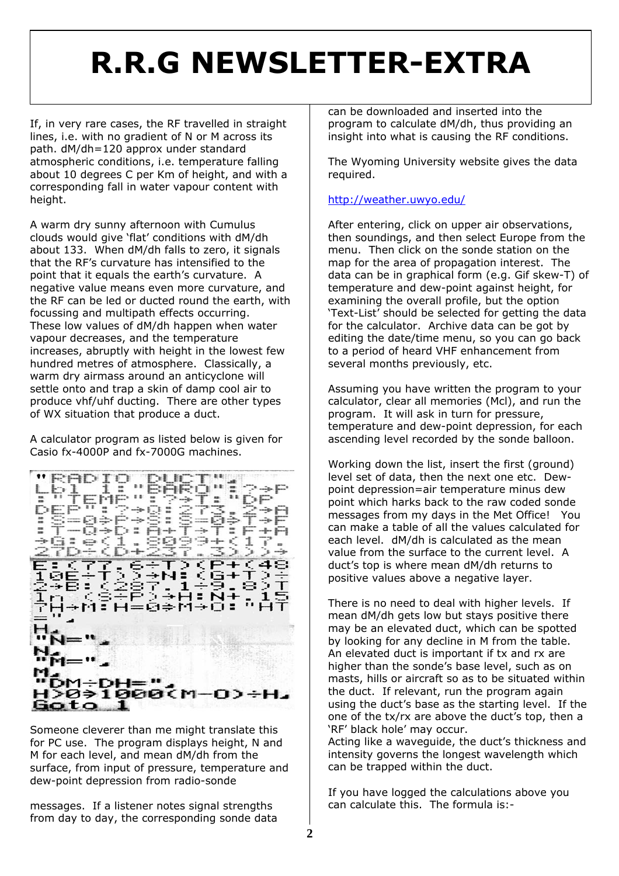## **R.R.G NEWSLETTER-EXTRA**

If, in very rare cases, the RF travelled in straight lines, i.e. with no gradient of N or M across its path. dM/dh=120 approx under standard atmospheric conditions, i.e. temperature falling about 10 degrees C per Km of height, and with a corresponding fall in water vapour content with height.

A warm dry sunny afternoon with Cumulus clouds would give 'flat' conditions with dM/dh about 133. When dM/dh falls to zero, it signals that the RF's curvature has intensified to the point that it equals the earth's curvature. A negative value means even more curvature, and the RF can be led or ducted round the earth, with focussing and multipath effects occurring. These low values of dM/dh happen when water vapour decreases, and the temperature increases, abruptly with height in the lowest few hundred metres of atmosphere. Classically, a warm dry airmass around an anticyclone will settle onto and trap a skin of damp cool air to produce vhf/uhf ducting. There are other types of WX situation that produce a duct.

A calculator program as listed below is given for Casio fx-4000P and fx-7000G machines.



Someone cleverer than me might translate this for PC use. The program displays height, N and M for each level, and mean dM/dh from the surface, from input of pressure, temperature and dew-point depression from radio-sonde

messages. If a listener notes signal strengths from day to day, the corresponding sonde data can be downloaded and inserted into the program to calculate dM/dh, thus providing an insight into what is causing the RF conditions.

The Wyoming University website gives the data required.

#### <http://weather.uwyo.edu/>

After entering, click on upper air observations, then soundings, and then select Europe from the menu. Then click on the sonde station on the map for the area of propagation interest. The data can be in graphical form (e.g. Gif skew-T) of temperature and dew-point against height, for examining the overall profile, but the option 'Text-List' should be selected for getting the data for the calculator. Archive data can be got by editing the date/time menu, so you can go back to a period of heard VHF enhancement from several months previously, etc.

Assuming you have written the program to your calculator, clear all memories (Mcl), and run the program. It will ask in turn for pressure, temperature and dew-point depression, for each ascending level recorded by the sonde balloon.

Working down the list, insert the first (ground) level set of data, then the next one etc. Dewpoint depression=air temperature minus dew point which harks back to the raw coded sonde messages from my days in the Met Office! You can make a table of all the values calculated for each level. dM/dh is calculated as the mean value from the surface to the current level. A duct's top is where mean dM/dh returns to positive values above a negative layer.

There is no need to deal with higher levels. If mean dM/dh gets low but stays positive there may be an elevated duct, which can be spotted by looking for any decline in M from the table. An elevated duct is important if tx and rx are higher than the sonde's base level, such as on masts, hills or aircraft so as to be situated within the duct. If relevant, run the program again using the duct's base as the starting level. If the one of the tx/rx are above the duct's top, then a 'RF' black hole' may occur.

Acting like a waveguide, the duct's thickness and intensity governs the longest wavelength which can be trapped within the duct.

If you have logged the calculations above you can calculate this. The formula is:-